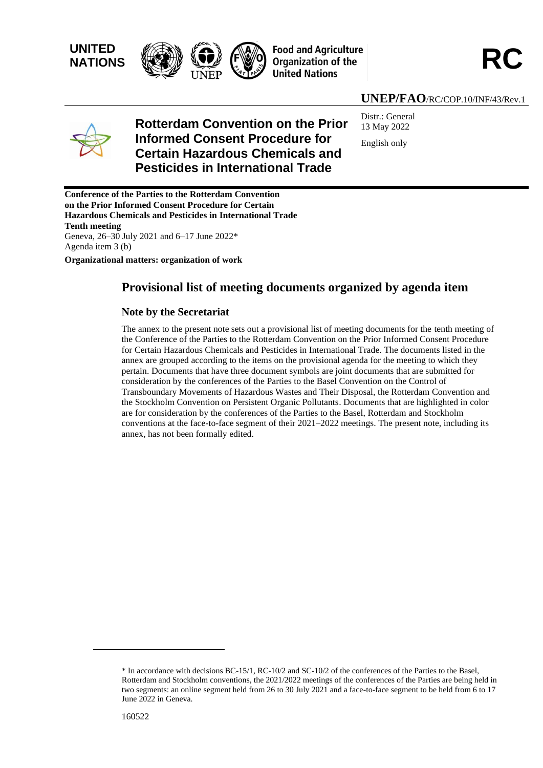



## **UNEP/FAO**/RC/COP.10/INF/43/Rev.1



# **Rotterdam Convention on the Prior Informed Consent Procedure for Certain Hazardous Chemicals and Pesticides in International Trade**

Distr.: General 13 May 2022 English only

**Conference of the Parties to the Rotterdam Convention on the Prior Informed Consent Procedure for Certain Hazardous Chemicals and Pesticides in International Trade Tenth meeting** Geneva, 26–30 July 2021 and 6–17 June 2022\* Agenda item 3 (b)

**Organizational matters: organization of work** 

## **Provisional list of meeting documents organized by agenda item**

#### **Note by the Secretariat**

The annex to the present note sets out a provisional list of meeting documents for the tenth meeting of the Conference of the Parties to the Rotterdam Convention on the Prior Informed Consent Procedure for Certain Hazardous Chemicals and Pesticides in International Trade. The documents listed in the annex are grouped according to the items on the provisional agenda for the meeting to which they pertain. Documents that have three document symbols are joint documents that are submitted for consideration by the conferences of the Parties to the Basel Convention on the Control of Transboundary Movements of Hazardous Wastes and Their Disposal, the Rotterdam Convention and the Stockholm Convention on Persistent Organic Pollutants. Documents that are highlighted in color are for consideration by the conferences of the Parties to the Basel, Rotterdam and Stockholm conventions at the face-to-face segment of their 2021–2022 meetings. The present note, including its annex, has not been formally edited.

<sup>\*</sup> In accordance with decisions BC-15/1, RC-10/2 and SC-10/2 of the conferences of the Parties to the Basel, Rotterdam and Stockholm conventions, the 2021/2022 meetings of the conferences of the Parties are being held in two segments: an online segment held from 26 to 30 July 2021 and a face-to-face segment to be held from 6 to 17 June 2022 in Geneva.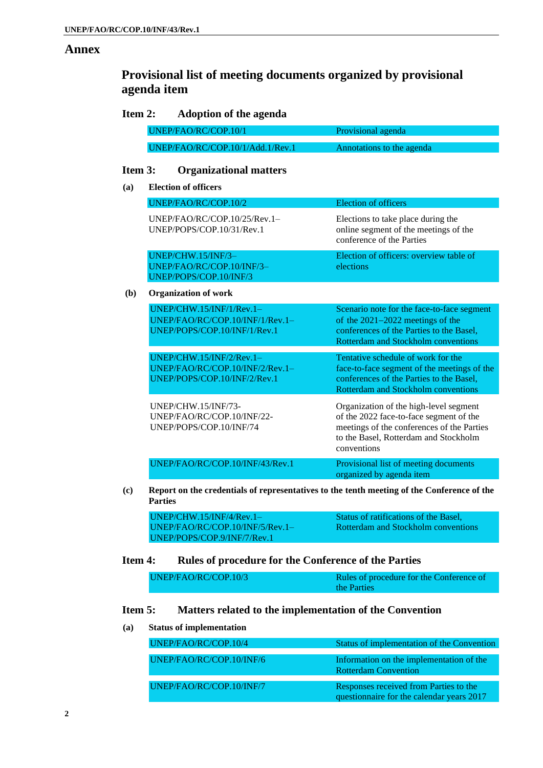$(a)$ 

#### **Annex**

# **Provisional list of meeting documents organized by provisional agenda item**

### **Item 2: Adoption of the agenda**

| UNEP/FAO/RC/COP.10/1             | Provisional agenda        |  |
|----------------------------------|---------------------------|--|
|                                  |                           |  |
| UNEP/FAO/RC/COP.10/1/Add.1/Rev.1 | Annotations to the agenda |  |

## **Item 3: Organizational matters**

| <b>Election of officers</b>                                                                 |                                                                                                                                                                                         |
|---------------------------------------------------------------------------------------------|-----------------------------------------------------------------------------------------------------------------------------------------------------------------------------------------|
| UNEP/FAO/RC/COP.10/2                                                                        | <b>Election of officers</b>                                                                                                                                                             |
| UNEP/FAO/RC/COP.10/25/Rev.1-<br>UNEP/POPS/COP.10/31/Rev.1                                   | Elections to take place during the<br>online segment of the meetings of the<br>conference of the Parties                                                                                |
| UNEP/CHW.15/INF/3-<br>UNEP/FAO/RC/COP.10/INF/3-<br>UNEP/POPS/COP.10/INF/3                   | Election of officers: overview table of<br>elections                                                                                                                                    |
| <b>Organization of work</b>                                                                 |                                                                                                                                                                                         |
| UNEP/CHW.15/INF/1/Rev.1-<br>UNEP/FAO/RC/COP.10/INF/1/Rev.1-<br>UNEP/POPS/COP.10/INF/1/Rev.1 | Scenario note for the face-to-face segment<br>of the 2021-2022 meetings of the<br>conferences of the Parties to the Basel,<br>Rotterdam and Stockholm conventions                       |
| UNEP/CHW.15/INF/2/Rev.1-<br>UNEP/FAO/RC/COP.10/INF/2/Rev.1-<br>UNEP/POPS/COP.10/INF/2/Rev.1 | Tentative schedule of work for the<br>face-to-face segment of the meetings of the<br>conferences of the Parties to the Basel,<br>Rotterdam and Stockholm conventions                    |
| UNEP/CHW.15/INF/73-<br>UNEP/FAO/RC/COP.10/INF/22-<br>UNEP/POPS/COP.10/INF/74                | Organization of the high-level segment<br>of the 2022 face-to-face segment of the<br>meetings of the conferences of the Parties<br>to the Basel, Rotterdam and Stockholm<br>conventions |
| UNEP/FAO/RC/COP.10/INF/43/Rev.1                                                             | Provisional list of meeting documents<br>organized by agenda item                                                                                                                       |

| UNEP/CHW.15/INF/4/Rev.1-          | Status of ratifications of the Basel, |
|-----------------------------------|---------------------------------------|
| $UNEP/FAO/RC/COP.10/INF/5/Rev.1-$ | Rotterdam and Stockholm conventions   |
| UNEP/POPS/COP.9/INF/7/Rev.1       |                                       |

#### **Item 4: Rules of procedure for the Conference of the Parties**

| UNEP/FAO/RC/COP.10/3 | Rules of procedure for the Conference of |
|----------------------|------------------------------------------|
|                      | the Parties                              |

## **Item 5: Matters related to the implementation of the Convention**

#### **(a) Status of implementation**

| UNEP/FAO/RC/COP.10/4     | Status of implementation of the Convention                                          |
|--------------------------|-------------------------------------------------------------------------------------|
|                          |                                                                                     |
| UNEP/FAO/RC/COP.10/INF/6 | Information on the implementation of the<br><b>Rotterdam Convention</b>             |
|                          |                                                                                     |
| UNEP/FAO/RC/COP.10/INF/7 | Responses received from Parties to the<br>questionnaire for the calendar years 2017 |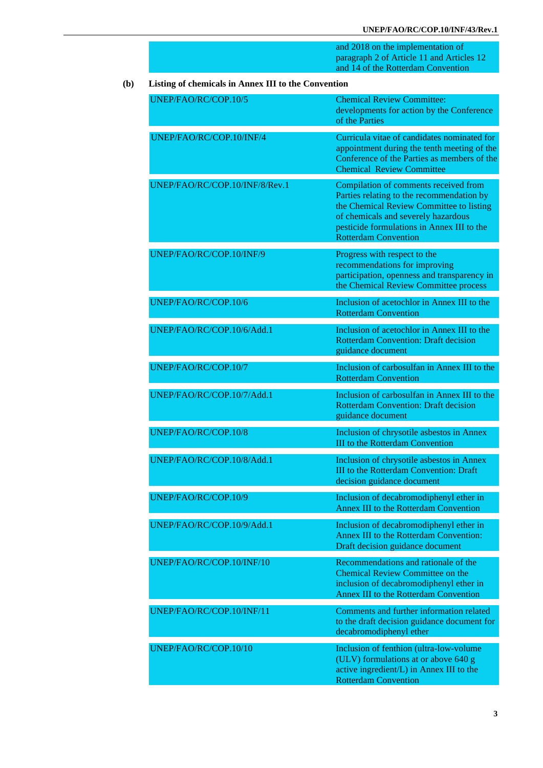and 2018 on the implementation of paragraph 2 of Article 11 and Articles 12 and 14 of the Rotterdam Convention

#### **(b) Listing of chemicals in Annex III to the Convention**

| UNEP/FAO/RC/COP.10/5           | <b>Chemical Review Committee:</b><br>developments for action by the Conference<br>of the Parties                                                                                                                                                   |
|--------------------------------|----------------------------------------------------------------------------------------------------------------------------------------------------------------------------------------------------------------------------------------------------|
| UNEP/FAO/RC/COP.10/INF/4       | Curricula vitae of candidates nominated for<br>appointment during the tenth meeting of the<br>Conference of the Parties as members of the<br><b>Chemical Review Committee</b>                                                                      |
| UNEP/FAO/RC/COP.10/INF/8/Rev.1 | Compilation of comments received from<br>Parties relating to the recommendation by<br>the Chemical Review Committee to listing<br>of chemicals and severely hazardous<br>pesticide formulations in Annex III to the<br><b>Rotterdam Convention</b> |
| UNEP/FAO/RC/COP.10/INF/9       | Progress with respect to the<br>recommendations for improving<br>participation, openness and transparency in<br>the Chemical Review Committee process                                                                                              |
| UNEP/FAO/RC/COP.10/6           | Inclusion of acetochlor in Annex III to the<br><b>Rotterdam Convention</b>                                                                                                                                                                         |
| UNEP/FAO/RC/COP.10/6/Add.1     | Inclusion of acetochlor in Annex III to the<br><b>Rotterdam Convention: Draft decision</b><br>guidance document                                                                                                                                    |
| UNEP/FAO/RC/COP.10/7           | Inclusion of carbosulfan in Annex III to the<br><b>Rotterdam Convention</b>                                                                                                                                                                        |
| UNEP/FAO/RC/COP.10/7/Add.1     | Inclusion of carbosulfan in Annex III to the<br><b>Rotterdam Convention: Draft decision</b><br>guidance document                                                                                                                                   |
| UNEP/FAO/RC/COP.10/8           | Inclusion of chrysotile asbestos in Annex<br><b>III</b> to the Rotterdam Convention                                                                                                                                                                |
| UNEP/FAO/RC/COP.10/8/Add.1     | Inclusion of chrysotile asbestos in Annex<br><b>III</b> to the Rotterdam Convention: Draft<br>decision guidance document                                                                                                                           |
| UNEP/FAO/RC/COP.10/9           | Inclusion of decabromodiphenyl ether in<br>Annex III to the Rotterdam Convention                                                                                                                                                                   |
| UNEP/FAO/RC/COP.10/9/Add.1     | Inclusion of decabromodiphenyl ether in<br>Annex III to the Rotterdam Convention:<br>Draft decision guidance document                                                                                                                              |
| UNEP/FAO/RC/COP.10/INF/10      | Recommendations and rationale of the<br><b>Chemical Review Committee on the</b><br>inclusion of decabromodiphenyl ether in<br>Annex III to the Rotterdam Convention                                                                                |
| UNEP/FAO/RC/COP.10/INF/11      | Comments and further information related<br>to the draft decision guidance document for<br>decabromodiphenyl ether                                                                                                                                 |
| UNEP/FAO/RC/COP.10/10          | Inclusion of fenthion (ultra-low-volume<br>(ULV) formulations at or above 640 g<br>active ingredient/L) in Annex III to the<br><b>Rotterdam Convention</b>                                                                                         |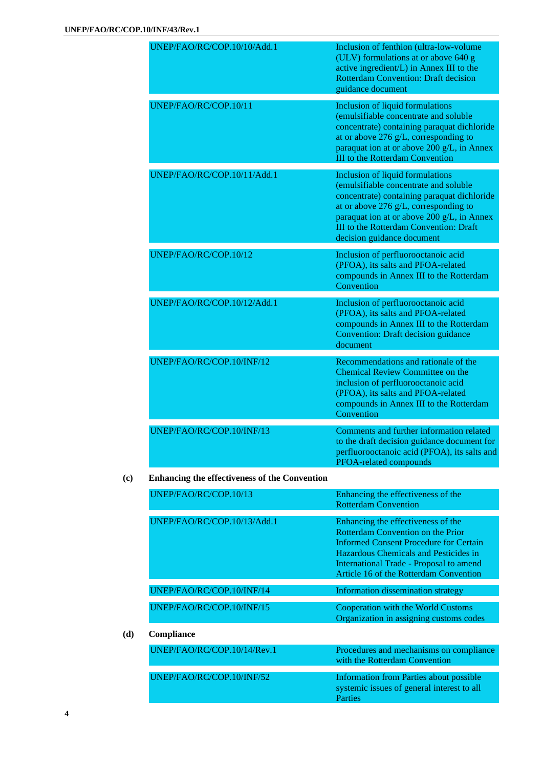| UNEP/FAO/RC/COP.10/10/Add.1 | Inclusion of fenthion (ultra-low-volume<br>(ULV) formulations at or above 640 g<br>active ingredient/L) in Annex III to the<br><b>Rotterdam Convention: Draft decision</b><br>guidance document                                                                                                        |
|-----------------------------|--------------------------------------------------------------------------------------------------------------------------------------------------------------------------------------------------------------------------------------------------------------------------------------------------------|
| UNEP/FAO/RC/COP.10/11       | <b>Inclusion of liquid formulations</b><br>(emulsifiable concentrate and soluble<br>concentrate) containing paraquat dichloride<br>at or above 276 g/L, corresponding to<br>paraquat ion at or above 200 g/L, in Annex<br><b>III</b> to the Rotterdam Convention                                       |
| UNEP/FAO/RC/COP.10/11/Add.1 | <b>Inclusion of liquid formulations</b><br>(emulsifiable concentrate and soluble)<br>concentrate) containing paraquat dichloride<br>at or above 276 g/L, corresponding to<br>paraquat ion at or above 200 g/L, in Annex<br><b>III</b> to the Rotterdam Convention: Draft<br>decision guidance document |
| UNEP/FAO/RC/COP.10/12       | Inclusion of perfluorooctanoic acid<br>(PFOA), its salts and PFOA-related<br>compounds in Annex III to the Rotterdam<br>Convention                                                                                                                                                                     |
| UNEP/FAO/RC/COP.10/12/Add.1 | Inclusion of perfluorooctanoic acid<br>(PFOA), its salts and PFOA-related<br>compounds in Annex III to the Rotterdam<br><b>Convention: Draft decision guidance</b><br>document                                                                                                                         |
| UNEP/FAO/RC/COP.10/INF/12   | Recommendations and rationale of the<br>Chemical Review Committee on the<br>inclusion of perfluorooctanoic acid<br>(PFOA), its salts and PFOA-related<br>compounds in Annex III to the Rotterdam<br>Convention                                                                                         |
| UNEP/FAO/RC/COP.10/INF/13   | Comments and further information related<br>to the draft decision guidance document for<br>perfluorooctanoic acid (PFOA), its salts and<br>PFOA-related compounds                                                                                                                                      |

#### **(c) Enhancing the effectiveness of the Convention**

| UNEP/FAO/RC/COP.10/13       | Enhancing the effectiveness of the<br><b>Rotterdam Convention</b>                                                                                                                                                                               |
|-----------------------------|-------------------------------------------------------------------------------------------------------------------------------------------------------------------------------------------------------------------------------------------------|
| UNEP/FAO/RC/COP.10/13/Add.1 | Enhancing the effectiveness of the<br>Rotterdam Convention on the Prior<br>Informed Consent Procedure for Certain<br>Hazardous Chemicals and Pesticides in<br>International Trade - Proposal to amend<br>Article 16 of the Rotterdam Convention |
| UNEP/FAO/RC/COP.10/INF/14   | Information dissemination strategy                                                                                                                                                                                                              |
| UNEP/FAO/RC/COP.10/INF/15   | Cooperation with the World Customs<br>Organization in assigning customs codes                                                                                                                                                                   |
| Compliance                  |                                                                                                                                                                                                                                                 |
| UNEP/FAO/RC/COP.10/14/Rev.1 | Procedures and mechanisms on compliance<br>with the Rotterdam Convention                                                                                                                                                                        |
| UNEP/FAO/RC/COP.10/INF/52   | Information from Parties about possible<br>systemic issues of general interest to all<br><b>Parties</b>                                                                                                                                         |

**(d) Compliance**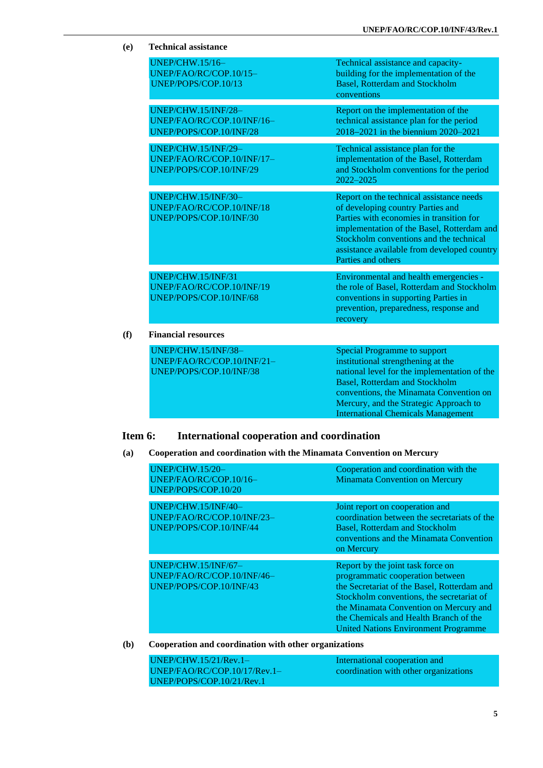| (e) | <b>Technical assistance</b>                                                         |                                                                                                                                                                                                                                                                                                      |
|-----|-------------------------------------------------------------------------------------|------------------------------------------------------------------------------------------------------------------------------------------------------------------------------------------------------------------------------------------------------------------------------------------------------|
|     | <b>UNEP/CHW.15/16-</b><br>UNEP/FAO/RC/COP.10/15-<br>UNEP/POPS/COP.10/13             | Technical assistance and capacity-<br>building for the implementation of the<br><b>Basel, Rotterdam and Stockholm</b><br>conventions                                                                                                                                                                 |
|     | UNEP/CHW.15/INF/28-<br>UNEP/FAO/RC/COP.10/INF/16-<br>UNEP/POPS/COP.10/INF/28        | Report on the implementation of the<br>technical assistance plan for the period<br>2018-2021 in the biennium 2020-2021                                                                                                                                                                               |
|     | <b>UNEP/CHW.15/INF/29-</b><br>UNEP/FAO/RC/COP.10/INF/17-<br>UNEP/POPS/COP.10/INF/29 | Technical assistance plan for the<br>implementation of the Basel, Rotterdam<br>and Stockholm conventions for the period<br>2022-2025                                                                                                                                                                 |
|     | UNEP/CHW.15/INF/30-<br>UNEP/FAO/RC/COP.10/INF/18<br>UNEP/POPS/COP.10/INF/30         | Report on the technical assistance needs<br>of developing country Parties and<br>Parties with economies in transition for<br>implementation of the Basel, Rotterdam and<br>Stockholm conventions and the technical<br>assistance available from developed country<br>Parties and others              |
|     | UNEP/CHW.15/INF/31<br>UNEP/FAO/RC/COP.10/INF/19<br>UNEP/POPS/COP.10/INF/68          | Environmental and health emergencies -<br>the role of Basel, Rotterdam and Stockholm<br>conventions in supporting Parties in<br>prevention, preparedness, response and<br>recovery                                                                                                                   |
| (f) | <b>Financial resources</b>                                                          |                                                                                                                                                                                                                                                                                                      |
|     | UNEP/CHW.15/INF/38-<br>UNEP/FAO/RC/COP.10/INF/21-<br>UNEP/POPS/COP.10/INF/38        | <b>Special Programme to support</b><br>institutional strengthening at the<br>national level for the implementation of the<br><b>Basel, Rotterdam and Stockholm</b><br>conventions, the Minamata Convention on<br>Mercury, and the Strategic Approach to<br><b>International Chemicals Management</b> |

## **Item 6: International cooperation and coordination**

#### **(a) Cooperation and coordination with the Minamata Convention on Mercury**

| <b>UNEP/CHW.15/20-</b>     | Cooperation and coordination with the        |
|----------------------------|----------------------------------------------|
| UNEP/FAO/RC/COP.10/16-     | <b>Minamata Convention on Mercury</b>        |
| UNEP/POPS/COP.10/20        |                                              |
|                            |                                              |
| UNEP/CHW.15/INF/40-        | Joint report on cooperation and              |
| UNEP/FAO/RC/COP.10/INF/23- | coordination between the secretariats of the |
| UNEP/POPS/COP.10/INF/44    | Basel, Rotterdam and Stockholm               |
|                            | conventions and the Minamata Convention      |
|                            |                                              |
|                            | on Mercury                                   |
| <b>UNEP/CHW.15/INF/67-</b> | Report by the joint task force on            |
|                            |                                              |
| UNEP/FAO/RC/COP.10/INF/46- | programmatic cooperation between             |
| UNEP/POPS/COP.10/INF/43    | the Secretariat of the Basel, Rotterdam and  |
|                            | Stockholm conventions, the secretariat of    |
|                            | the Minamata Convention on Mercury and       |
|                            | the Chemicals and Health Branch of the       |
|                            | <b>United Nations Environment Programme</b>  |
|                            |                                              |

**(b) Cooperation and coordination with other organizations**

| $UNEP/CHW.15/21/Rev.1-$        | International cooperation and         |
|--------------------------------|---------------------------------------|
| $UNEP/FAO/RC/COP.10/17/Rev.1-$ | coordination with other organizations |
| UNEP/POPS/COP.10/21/Rev.1      |                                       |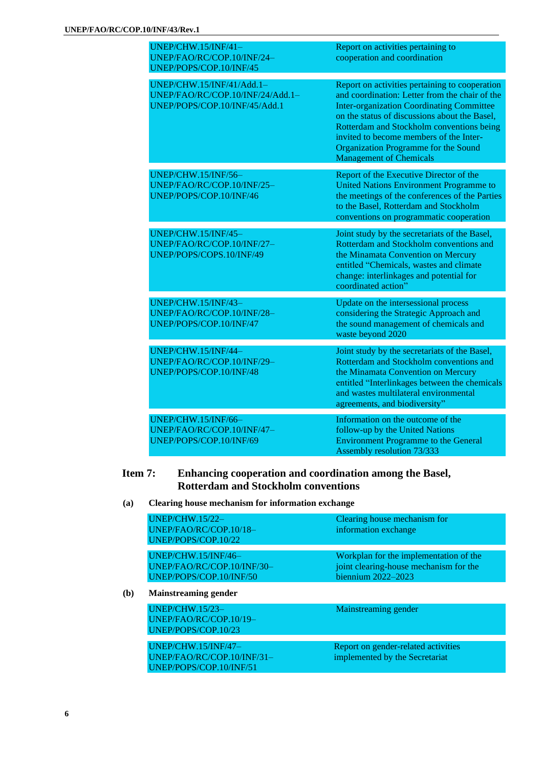| UNEP/CHW.15/INF/41-<br>UNEP/FAO/RC/COP.10/INF/24-<br>UNEP/POPS/COP.10/INF/45                   | Report on activities pertaining to<br>cooperation and coordination                                                                                                                                                                                                                                                                                                      |
|------------------------------------------------------------------------------------------------|-------------------------------------------------------------------------------------------------------------------------------------------------------------------------------------------------------------------------------------------------------------------------------------------------------------------------------------------------------------------------|
| UNEP/CHW.15/INF/41/Add.1-<br>UNEP/FAO/RC/COP.10/INF/24/Add.1-<br>UNEP/POPS/COP.10/INF/45/Add.1 | Report on activities pertaining to cooperation<br>and coordination: Letter from the chair of the<br><b>Inter-organization Coordinating Committee</b><br>on the status of discussions about the Basel,<br>Rotterdam and Stockholm conventions being<br>invited to become members of the Inter-<br>Organization Programme for the Sound<br><b>Management of Chemicals</b> |
| UNEP/CHW.15/INF/56-<br>UNEP/FAO/RC/COP.10/INF/25-<br>UNEP/POPS/COP.10/INF/46                   | Report of the Executive Director of the<br><b>United Nations Environment Programme to</b><br>the meetings of the conferences of the Parties<br>to the Basel, Rotterdam and Stockholm<br>conventions on programmatic cooperation                                                                                                                                         |
| UNEP/CHW.15/INF/45-<br>UNEP/FAO/RC/COP.10/INF/27-<br>UNEP/POPS/COPS.10/INF/49                  | Joint study by the secretariats of the Basel,<br>Rotterdam and Stockholm conventions and<br>the Minamata Convention on Mercury<br>entitled "Chemicals, wastes and climate<br>change: interlinkages and potential for<br>coordinated action"                                                                                                                             |
| UNEP/CHW.15/INF/43-<br>UNEP/FAO/RC/COP.10/INF/28-<br>UNEP/POPS/COP.10/INF/47                   | Update on the intersessional process<br>considering the Strategic Approach and<br>the sound management of chemicals and<br>waste beyond 2020                                                                                                                                                                                                                            |
| UNEP/CHW.15/INF/44-<br>UNEP/FAO/RC/COP.10/INF/29-<br>UNEP/POPS/COP.10/INF/48                   | Joint study by the secretariats of the Basel,<br>Rotterdam and Stockholm conventions and<br>the Minamata Convention on Mercury<br>entitled "Interlinkages between the chemicals<br>and wastes multilateral environmental<br>agreements, and biodiversity"                                                                                                               |
| UNEP/CHW.15/INF/66-<br>UNEP/FAO/RC/COP.10/INF/47-<br>UNEP/POPS/COP.10/INF/69                   | Information on the outcome of the<br>follow-up by the United Nations<br><b>Environment Programme to the General</b><br><b>Assembly resolution 73/333</b>                                                                                                                                                                                                                |

## **Item 7: Enhancing cooperation and coordination among the Basel, Rotterdam and Stockholm conventions**

**(a) Clearing house mechanism for information exchange**

| <b>UNEP/CHW.15/22-</b><br>UNEP/FAO/RC/COP.10/18-<br>UNEP/POPS/COP.10/22      | Clearing house mechanism for<br>information exchange                                                       |
|------------------------------------------------------------------------------|------------------------------------------------------------------------------------------------------------|
| UNEP/CHW.15/INF/46-<br>UNEP/FAO/RC/COP.10/INF/30-<br>UNEP/POPS/COP.10/INF/50 | Workplan for the implementation of the<br>joint clearing-house mechanism for the<br>biennium $2022 - 2023$ |
| <b>Mainstreaming gender</b>                                                  |                                                                                                            |
| <b>UNEP/CHW.15/23-</b><br>UNEP/FAO/RC/COP.10/19-<br>UNEP/POPS/COP.10/23      | Mainstreaming gender                                                                                       |
| UNEP/CHW.15/INF/47-<br>UNEP/FAO/RC/COP.10/INF/31-<br>UNEP/POPS/COP.10/INF/51 | Report on gender-related activities<br>implemented by the Secretariat                                      |

**(b) Mainstreaming gender**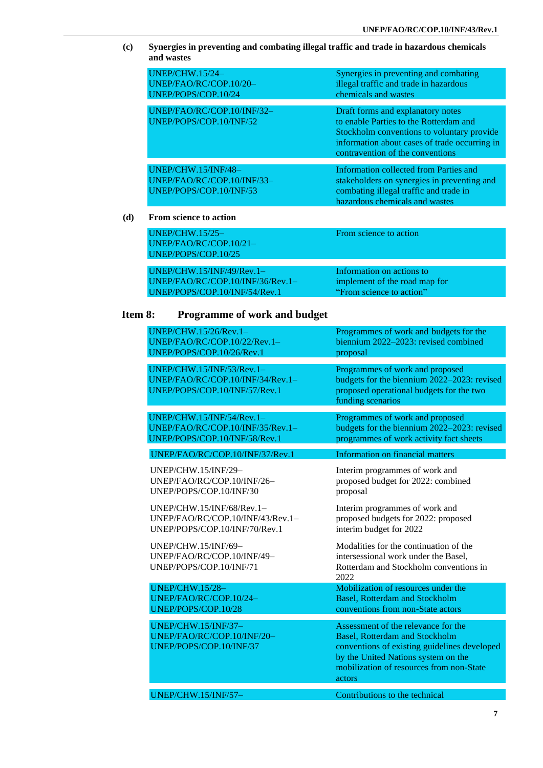**(c) Synergies in preventing and combating illegal traffic and trade in hazardous chemicals and wastes**

| $UNEP/CHW.15/24-$<br>UNEP/FAO/RC/COP.10/20-<br>UNEP/POPS/COP.10/24           | Synergies in preventing and combating<br>illegal traffic and trade in hazardous<br>chemicals and wastes                                                                                                        |
|------------------------------------------------------------------------------|----------------------------------------------------------------------------------------------------------------------------------------------------------------------------------------------------------------|
| UNEP/FAO/RC/COP.10/INF/32-<br>UNEP/POPS/COP.10/INF/52                        | Draft forms and explanatory notes<br>to enable Parties to the Rotterdam and<br>Stockholm conventions to voluntary provide<br>information about cases of trade occurring in<br>contravention of the conventions |
| UNEP/CHW.15/INF/48-<br>UNEP/FAO/RC/COP.10/INF/33-<br>UNEP/POPS/COP.10/INF/53 | Information collected from Parties and<br>stakeholders on synergies in preventing and<br>combating illegal traffic and trade in<br>hazardous chemicals and wastes                                              |

#### **(d) From science to action**

| $UNEP/CHW.15/25-$<br>$UNEP/FAO/RC/COP.10/21-$                     | From science to action                                     |
|-------------------------------------------------------------------|------------------------------------------------------------|
| UNEP/POPS/COP.10/25                                               |                                                            |
| $UNEP/CHW.15/INF/49/Rev.1-$<br>$UNEP/FAO/RC/COP.10/INF/36/Rev.1-$ | Information on actions to<br>implement of the road map for |
| UNEP/POPS/COP.10/INF/54/Rev.1                                     | "From science to action"                                   |

## **Item 8: Programme of work and budget**

| <b>UNEP/CHW.15/26/Rev.1-</b>                                                                   | Programmes of work and budgets for the                                                                                                                                                                                    |
|------------------------------------------------------------------------------------------------|---------------------------------------------------------------------------------------------------------------------------------------------------------------------------------------------------------------------------|
| UNEP/FAO/RC/COP.10/22/Rev.1-                                                                   | biennium 2022-2023: revised combined                                                                                                                                                                                      |
| UNEP/POPS/COP.10/26/Rev.1                                                                      | proposal                                                                                                                                                                                                                  |
| UNEP/CHW.15/INF/53/Rev.1-<br>UNEP/FAO/RC/COP.10/INF/34/Rev.1-<br>UNEP/POPS/COP.10/INF/57/Rev.1 | Programmes of work and proposed<br>budgets for the biennium 2022-2023: revised<br>proposed operational budgets for the two<br>funding scenarios                                                                           |
| UNEP/CHW.15/INF/54/Rev.1-                                                                      | Programmes of work and proposed                                                                                                                                                                                           |
| UNEP/FAO/RC/COP.10/INF/35/Rev.1-                                                               | budgets for the biennium 2022-2023: revised                                                                                                                                                                               |
| UNEP/POPS/COP.10/INF/58/Rev.1                                                                  | programmes of work activity fact sheets                                                                                                                                                                                   |
| UNEP/FAO/RC/COP.10/INF/37/Rev.1                                                                | <b>Information on financial matters</b>                                                                                                                                                                                   |
| <b>UNEP/CHW.15/INF/29-</b>                                                                     | Interim programmes of work and                                                                                                                                                                                            |
| UNEP/FAO/RC/COP.10/INF/26-                                                                     | proposed budget for 2022: combined                                                                                                                                                                                        |
| UNEP/POPS/COP.10/INF/30                                                                        | proposal                                                                                                                                                                                                                  |
| UNEP/CHW.15/INF/68/Rev.1-                                                                      | Interim programmes of work and                                                                                                                                                                                            |
| $UNEP/FAO/RC/COP.10/INF/43/Rev.1-$                                                             | proposed budgets for 2022: proposed                                                                                                                                                                                       |
| UNEP/POPS/COP.10/INF/70/Rev.1                                                                  | interim budget for 2022                                                                                                                                                                                                   |
| UNEP/CHW.15/INF/69-<br>UNEP/FAO/RC/COP.10/INF/49-<br>UNEP/POPS/COP.10/INF/71                   | Modalities for the continuation of the<br>intersessional work under the Basel,<br>Rotterdam and Stockholm conventions in<br>2022                                                                                          |
| <b>UNEP/CHW.15/28-</b>                                                                         | Mobilization of resources under the                                                                                                                                                                                       |
| UNEP/FAO/RC/COP.10/24-                                                                         | <b>Basel, Rotterdam and Stockholm</b>                                                                                                                                                                                     |
| UNEP/POPS/COP.10/28                                                                            | conventions from non-State actors                                                                                                                                                                                         |
| UNEP/CHW.15/INF/37-<br>UNEP/FAO/RC/COP.10/INF/20-<br>UNEP/POPS/COP.10/INF/37                   | Assessment of the relevance for the<br><b>Basel, Rotterdam and Stockholm</b><br>conventions of existing guidelines developed<br>by the United Nations system on the<br>mobilization of resources from non-State<br>actors |
| UNEP/CHW.15/INF/57-                                                                            | Contributions to the technical                                                                                                                                                                                            |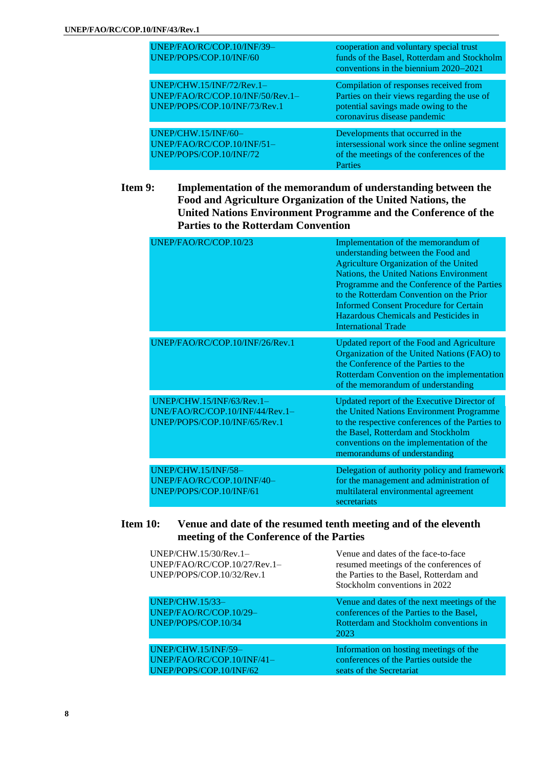| UNEP/FAO/RC/COP.10/INF/39-<br>UNEP/POPS/COP.10/INF/60                                          | cooperation and voluntary special trust<br>funds of the Basel, Rotterdam and Stockholm<br>conventions in the biennium 2020–2021                              |
|------------------------------------------------------------------------------------------------|--------------------------------------------------------------------------------------------------------------------------------------------------------------|
| UNEP/CHW.15/INF/72/Rev.1-<br>UNEP/FAO/RC/COP.10/INF/50/Rev.1-<br>UNEP/POPS/COP.10/INF/73/Rev.1 | Compilation of responses received from<br>Parties on their views regarding the use of<br>potential savings made owing to the<br>coronavirus disease pandemic |
| UNEP/CHW.15/INF/60-<br>UNEP/FAO/RC/COP.10/INF/51-<br>UNEP/POPS/COP.10/INF/72                   | Developments that occurred in the<br>intersessional work since the online segment<br>of the meetings of the conferences of the<br>Parties                    |

### **Item 9: Implementation of the memorandum of understanding between the Food and Agriculture Organization of the United Nations, the United Nations Environment Programme and the Conference of the Parties to the Rotterdam Convention**

| UNEP/FAO/RC/COP.10/23                                                                         | Implementation of the memorandum of<br>understanding between the Food and<br>Agriculture Organization of the United<br>Nations, the United Nations Environment<br>Programme and the Conference of the Parties<br>to the Rotterdam Convention on the Prior<br><b>Informed Consent Procedure for Certain</b><br>Hazardous Chemicals and Pesticides in<br><b>International Trade</b> |
|-----------------------------------------------------------------------------------------------|-----------------------------------------------------------------------------------------------------------------------------------------------------------------------------------------------------------------------------------------------------------------------------------------------------------------------------------------------------------------------------------|
| UNEP/FAO/RC/COP.10/INF/26/Rev.1                                                               | Updated report of the Food and Agriculture<br>Organization of the United Nations (FAO) to<br>the Conference of the Parties to the<br>Rotterdam Convention on the implementation<br>of the memorandum of understanding                                                                                                                                                             |
| UNEP/CHW.15/INF/63/Rev.1-<br>UNE/FAO/RC/COP.10/INF/44/Rev.1-<br>UNEP/POPS/COP.10/INF/65/Rev.1 | Updated report of the Executive Director of<br>the United Nations Environment Programme<br>to the respective conferences of the Parties to<br>the Basel, Rotterdam and Stockholm<br>conventions on the implementation of the<br>memorandums of understanding                                                                                                                      |
| <b>UNEP/CHW.15/INF/58-</b><br>UNEP/FAO/RC/COP.10/INF/40-<br>UNEP/POPS/COP.10/INF/61           | Delegation of authority policy and framework<br>for the management and administration of<br>multilateral environmental agreement<br>secretariats                                                                                                                                                                                                                                  |

### **Item 10: Venue and date of the resumed tenth meeting and of the eleventh meeting of the Conference of the Parties**

| UNEP/CHW.15/30/Rev.1-<br>UNEP/FAO/RC/COP.10/27/Rev.1-<br>UNEP/POPS/COP.10/32/Rev.1 | Venue and dates of the face-to-face<br>resumed meetings of the conferences of<br>the Parties to the Basel, Rotterdam and<br>Stockholm conventions in 2022 |
|------------------------------------------------------------------------------------|-----------------------------------------------------------------------------------------------------------------------------------------------------------|
| <b>UNEP/CHW.15/33-</b><br>UNEP/FAO/RC/COP.10/29-<br>UNEP/POPS/COP.10/34            | Venue and dates of the next meetings of the<br>conferences of the Parties to the Basel,<br>Rotterdam and Stockholm conventions in<br>2023                 |
|                                                                                    |                                                                                                                                                           |
| UNEP/CHW.15/INF/59-<br>UNEP/FAO/RC/COP.10/INF/41-<br>UNEP/POPS/COP.10/INF/62       | Information on hosting meetings of the<br>conferences of the Parties outside the<br>seats of the Secretariat                                              |